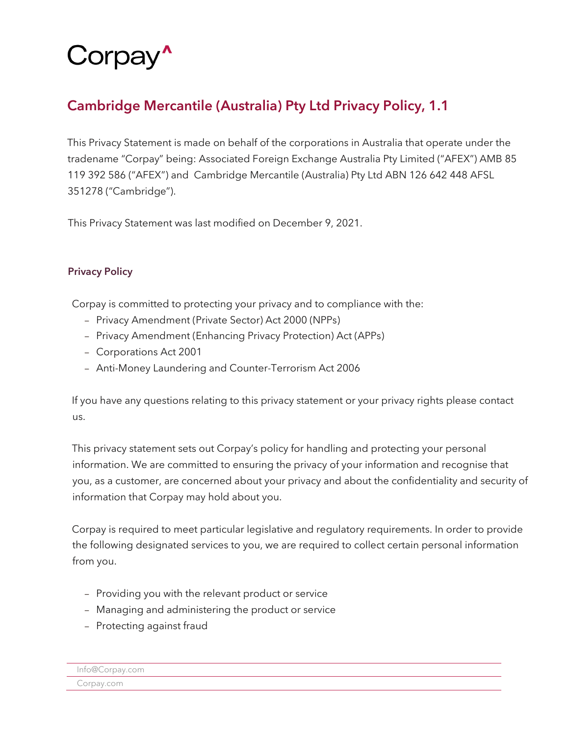# Corpay<sup>^</sup>

# Cambridge Mercantile (Australia) Pty Ltd Privacy Policy, 1.1

This Privacy Statement is made on behalf of the corporations in Australia that operate under the tradename "Corpay" being: Associated Foreign Exchange Australia Pty Limited ("AFEX") AMB 85 119 392 586 ("AFEX") and Cambridge Mercantile (Australia) Pty Ltd ABN 126 642 448 AFSL 351278 ("Cambridge").

This Privacy Statement was last modified on December 9, 2021.

# Privacy Policy

Corpay is committed to protecting your privacy and to compliance with the:

- Privacy Amendment (Private Sector) Act 2000 (NPPs)
- Privacy Amendment (Enhancing Privacy Protection) Act (APPs)
- Corporations Act 2001
- Anti-Money Laundering and Counter-Terrorism Act 2006

If you have any questions relating to this privacy statement or your privacy rights please contact us.

This privacy statement sets out Corpay's policy for handling and protecting your personal information. We are committed to ensuring the privacy of your information and recognise that you, as a customer, are concerned about your privacy and about the confidentiality and security of information that Corpay may hold about you.

Corpay is required to meet particular legislative and regulatory requirements. In order to provide the following designated services to you, we are required to collect certain personal information from you.

- Providing you with the relevant product or service
- Managing and administering the product or service
- Protecting against fraud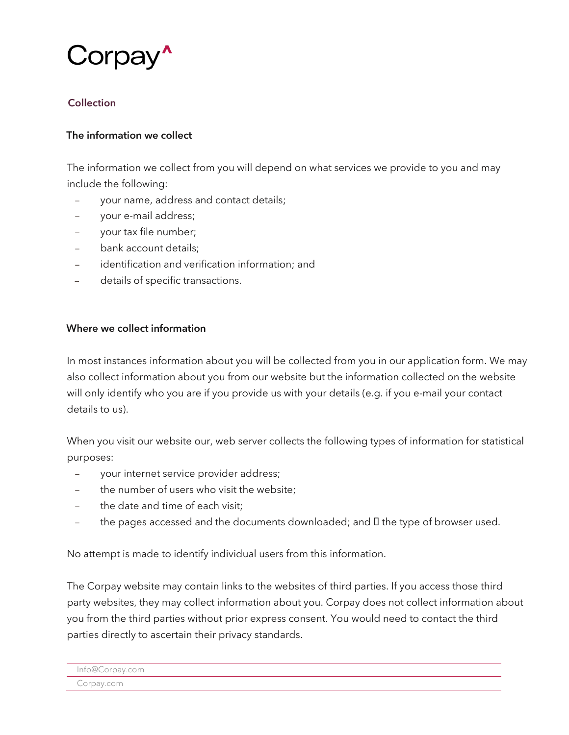

# Collection

#### The information we collect

The information we collect from you will depend on what services we provide to you and may include the following:

- your name, address and contact details;
- your e-mail address;
- your tax file number;
- bank account details;
- identification and verification information; and
- details of specific transactions.

#### Where we collect information

In most instances information about you will be collected from you in our application form. We may also collect information about you from our website but the information collected on the website will only identify who you are if you provide us with your details (e.g. if you e-mail your contact details to us).

When you visit our website our, web server collects the following types of information for statistical purposes:

- your internet service provider address;
- the number of users who visit the website:
- the date and time of each visit;
- the pages accessed and the documents downloaded; and  $I$  the type of browser used.

No attempt is made to identify individual users from this information.

The Corpay website may contain links to the websites of third parties. If you access those third party websites, they may collect information about you. Corpay does not collect information about you from the third parties without prior express consent. You would need to contact the third parties directly to ascertain their privacy standards.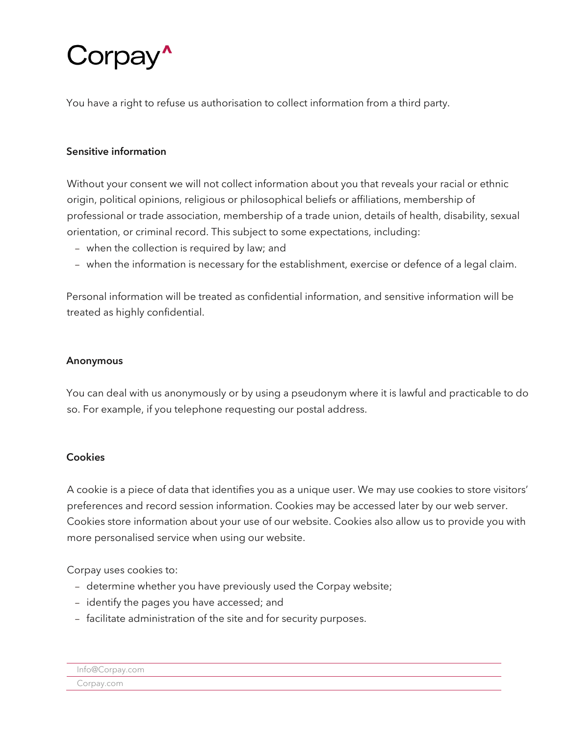# Corpay<sup>\*</sup>

You have a right to refuse us authorisation to collect information from a third party.

## Sensitive information

Without your consent we will not collect information about you that reveals your racial or ethnic origin, political opinions, religious or philosophical beliefs or affiliations, membership of professional or trade association, membership of a trade union, details of health, disability, sexual orientation, or criminal record. This subject to some expectations, including:

- when the collection is required by law; and
- when the information is necessary for the establishment, exercise or defence of a legal claim.

Personal information will be treated as confidential information, and sensitive information will be treated as highly confidential.

#### Anonymous

You can deal with us anonymously or by using a pseudonym where it is lawful and practicable to do so. For example, if you telephone requesting our postal address.

#### **Cookies**

A cookie is a piece of data that identifies you as a unique user. We may use cookies to store visitors' preferences and record session information. Cookies may be accessed later by our web server. Cookies store information about your use of our website. Cookies also allow us to provide you with more personalised service when using our website.

Corpay uses cookies to:

- determine whether you have previously used the Corpay website;
- identify the pages you have accessed; and
- facilitate administration of the site and for security purposes.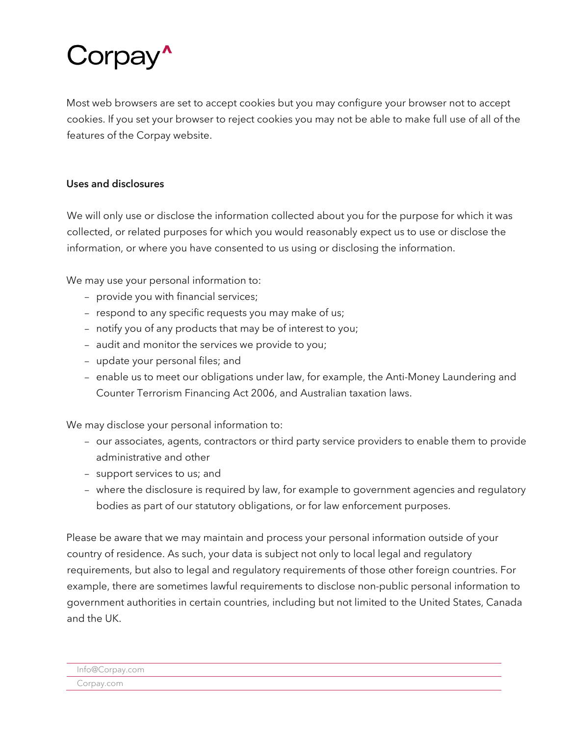# Corpay<sup>^</sup>

Most web browsers are set to accept cookies but you may configure your browser not to accept cookies. If you set your browser to reject cookies you may not be able to make full use of all of the features of the Corpay website.

## Uses and disclosures

We will only use or disclose the information collected about you for the purpose for which it was collected, or related purposes for which you would reasonably expect us to use or disclose the information, or where you have consented to us using or disclosing the information.

We may use your personal information to:

- provide you with financial services;
- respond to any specific requests you may make of us;
- notify you of any products that may be of interest to you;
- audit and monitor the services we provide to you;
- update your personal files; and
- enable us to meet our obligations under law, for example, the Anti-Money Laundering and Counter Terrorism Financing Act 2006, and Australian taxation laws.

We may disclose your personal information to:

- our associates, agents, contractors or third party service providers to enable them to provide administrative and other
- support services to us; and
- where the disclosure is required by law, for example to government agencies and regulatory bodies as part of our statutory obligations, or for law enforcement purposes.

Please be aware that we may maintain and process your personal information outside of your country of residence. As such, your data is subject not only to local legal and regulatory requirements, but also to legal and regulatory requirements of those other foreign countries. For example, there are sometimes lawful requirements to disclose non-public personal information to government authorities in certain countries, including but not limited to the United States, Canada and the UK.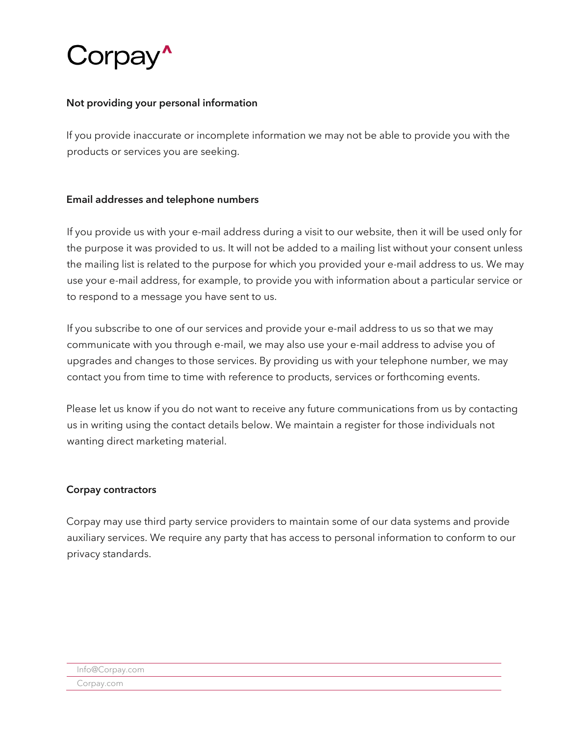

#### Not providing your personal information

If you provide inaccurate or incomplete information we may not be able to provide you with the products or services you are seeking.

#### Email addresses and telephone numbers

If you provide us with your e-mail address during a visit to our website, then it will be used only for the purpose it was provided to us. It will not be added to a mailing list without your consent unless the mailing list is related to the purpose for which you provided your e-mail address to us. We may use your e-mail address, for example, to provide you with information about a particular service or to respond to a message you have sent to us.

If you subscribe to one of our services and provide your e-mail address to us so that we may communicate with you through e-mail, we may also use your e-mail address to advise you of upgrades and changes to those services. By providing us with your telephone number, we may contact you from time to time with reference to products, services or forthcoming events.

Please let us know if you do not want to receive any future communications from us by contacting us in writing using the contact details below. We maintain a register for those individuals not wanting direct marketing material.

#### Corpay contractors

Corpay may use third party service providers to maintain some of our data systems and provide auxiliary services. We require any party that has access to personal information to conform to our privacy standards.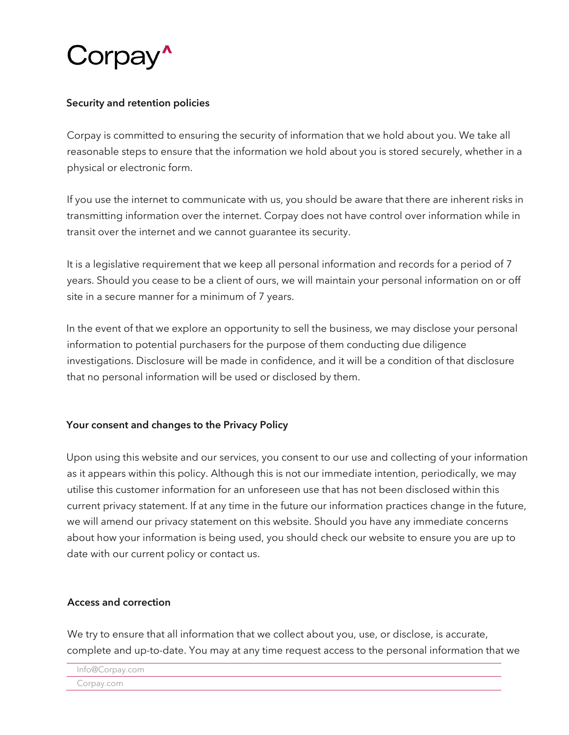

### Security and retention policies

Corpay is committed to ensuring the security of information that we hold about you. We take all reasonable steps to ensure that the information we hold about you is stored securely, whether in a physical or electronic form.

If you use the internet to communicate with us, you should be aware that there are inherent risks in transmitting information over the internet. Corpay does not have control over information while in transit over the internet and we cannot guarantee its security.

It is a legislative requirement that we keep all personal information and records for a period of 7 years. Should you cease to be a client of ours, we will maintain your personal information on or off site in a secure manner for a minimum of 7 years.

In the event of that we explore an opportunity to sell the business, we may disclose your personal information to potential purchasers for the purpose of them conducting due diligence investigations. Disclosure will be made in confidence, and it will be a condition of that disclosure that no personal information will be used or disclosed by them.

## Your consent and changes to the Privacy Policy

Upon using this website and our services, you consent to our use and collecting of your information as it appears within this policy. Although this is not our immediate intention, periodically, we may utilise this customer information for an unforeseen use that has not been disclosed within this current privacy statement. If at any time in the future our information practices change in the future, we will amend our privacy statement on this website. Should you have any immediate concerns about how your information is being used, you should check our website to ensure you are up to date with our current policy or contact us.

#### Access and correction

We try to ensure that all information that we collect about you, use, or disclose, is accurate, complete and up-to-date. You may at any time request access to the personal information that we

```
Info@Corpay.com
```
Corpay.com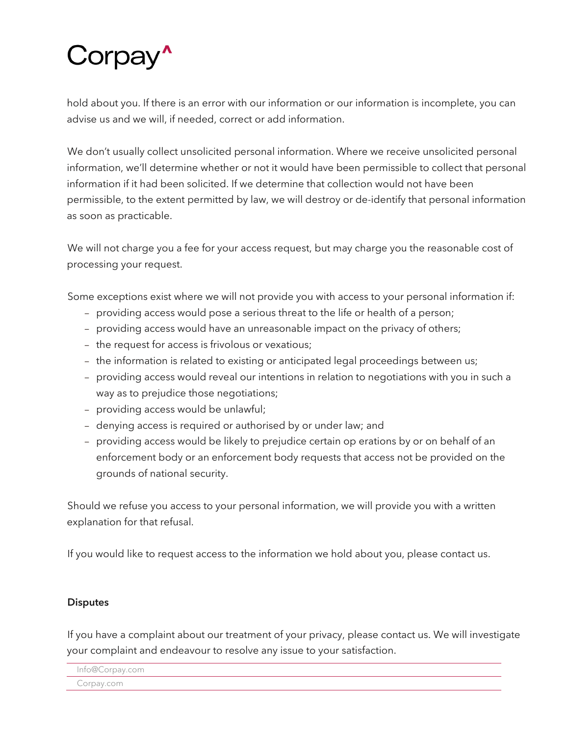# Corpay'

hold about you. If there is an error with our information or our information is incomplete, you can advise us and we will, if needed, correct or add information.

We don't usually collect unsolicited personal information. Where we receive unsolicited personal information, we'll determine whether or not it would have been permissible to collect that personal information if it had been solicited. If we determine that collection would not have been permissible, to the extent permitted by law, we will destroy or de-identify that personal information as soon as practicable.

We will not charge you a fee for your access request, but may charge you the reasonable cost of processing your request.

Some exceptions exist where we will not provide you with access to your personal information if:

- providing access would pose a serious threat to the life or health of a person;
- providing access would have an unreasonable impact on the privacy of others;
- the request for access is frivolous or vexatious;
- the information is related to existing or anticipated legal proceedings between us;
- providing access would reveal our intentions in relation to negotiations with you in such a way as to prejudice those negotiations;
- providing access would be unlawful;
- denying access is required or authorised by or under law; and
- providing access would be likely to prejudice certain op erations by or on behalf of an enforcement body or an enforcement body requests that access not be provided on the grounds of national security.

Should we refuse you access to your personal information, we will provide you with a written explanation for that refusal.

If you would like to request access to the information we hold about you, please contact us.

## **Disputes**

If you have a complaint about our treatment of your privacy, please contact us. We will investigate your complaint and endeavour to resolve any issue to your satisfaction.

Info@Corpay.com

Corpay.com